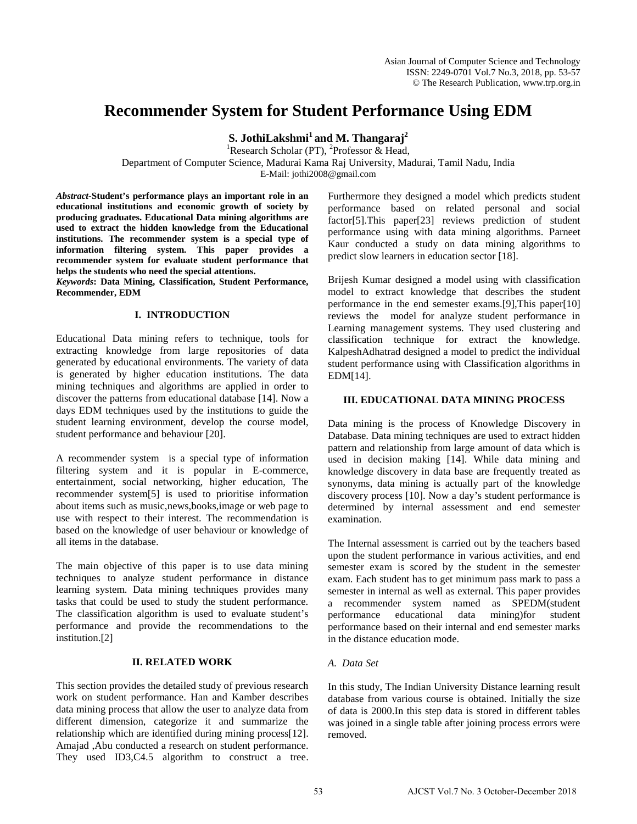# **Recommender System for Student Performance Using EDM**

**S. JothiLakshmi1 and M. Thangaraj<sup>2</sup>**

<sup>1</sup>Research Scholar (PT), <sup>2</sup>Professor & Head,

Department of Computer Science, Madurai Kama Raj University, Madurai, Tamil Nadu, India

E-Mail: jothi2008@gmail.com

*Abstract-***Student's performance plays an important role in an educational institutions and economic growth of society by producing graduates. Educational Data mining algorithms are used to extract the hidden knowledge from the Educational institutions. The recommender system is a special type of information filtering system. This paper provides a recommender system for evaluate student performance that helps the students who need the special attentions.** 

*Keywords***: Data Mining, Classification, Student Performance, Recommender, EDM**

# **I. INTRODUCTION**

Educational Data mining refers to technique, tools for extracting knowledge from large repositories of data generated by educational environments. The variety of data is generated by higher education institutions. The data mining techniques and algorithms are applied in order to discover the patterns from educational database [14]. Now a days EDM techniques used by the institutions to guide the student learning environment, develop the course model, student performance and behaviour [20].

A recommender system is a special type of information filtering system and it is popular in E-commerce, entertainment, social networking, higher education, The recommender system[5] is used to prioritise information about items such as music,news,books,image or web page to use with respect to their interest. The recommendation is based on the knowledge of user behaviour or knowledge of all items in the database.

The main objective of this paper is to use data mining techniques to analyze student performance in distance learning system. Data mining techniques provides many tasks that could be used to study the student performance. The classification algorithm is used to evaluate student's performance and provide the recommendations to the institution.[2]

# **II. RELATED WORK**

This section provides the detailed study of previous research work on student performance. Han and Kamber describes data mining process that allow the user to analyze data from different dimension, categorize it and summarize the relationship which are identified during mining process[12]. Amajad ,Abu conducted a research on student performance. They used ID3,C4.5 algorithm to construct a tree. Furthermore they designed a model which predicts student performance based on related personal and social factor[5].This paper[23] reviews prediction of student performance using with data mining algorithms. Parneet Kaur conducted a study on data mining algorithms to predict slow learners in education sector [18].

Brijesh Kumar designed a model using with classification model to extract knowledge that describes the student performance in the end semester exams.[9],This paper[10] reviews the model for analyze student performance in Learning management systems. They used clustering and classification technique for extract the knowledge. KalpeshAdhatrad designed a model to predict the individual student performance using with Classification algorithms in EDM[14].

# **III. EDUCATIONAL DATA MINING PROCESS**

Data mining is the process of Knowledge Discovery in Database. Data mining techniques are used to extract hidden pattern and relationship from large amount of data which is used in decision making [14]. While data mining and knowledge discovery in data base are frequently treated as synonyms, data mining is actually part of the knowledge discovery process [10]. Now a day's student performance is determined by internal assessment and end semester examination.

The Internal assessment is carried out by the teachers based upon the student performance in various activities, and end semester exam is scored by the student in the semester exam. Each student has to get minimum pass mark to pass a semester in internal as well as external. This paper provides a recommender system named as SPEDM(student performance educational data mining)for student performance based on their internal and end semester marks in the distance education mode.

# *A. Data Set*

In this study, The Indian University Distance learning result database from various course is obtained. Initially the size of data is 2000.In this step data is stored in different tables was joined in a single table after joining process errors were removed.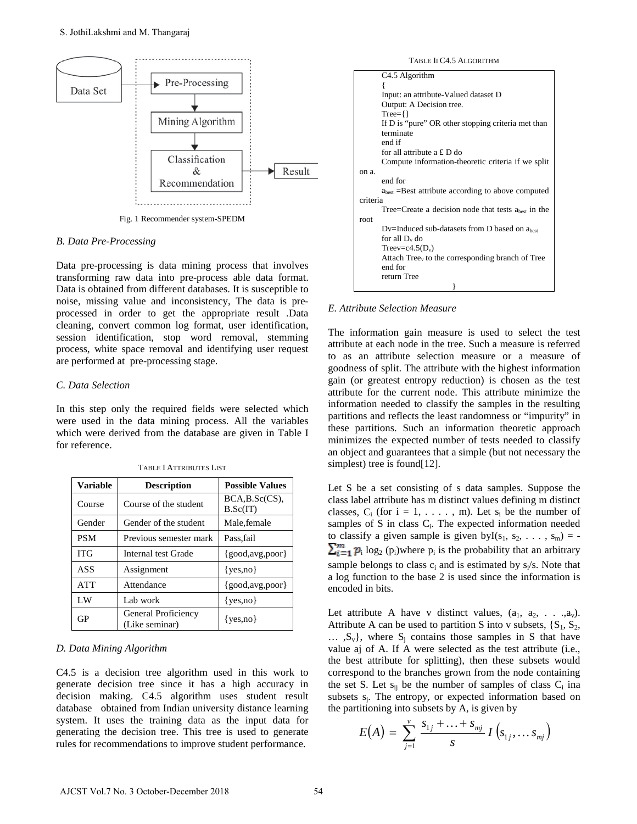

Fig. 1 Recommender system-SPEDM

#### *B. Data Pre-Processing*

Data pre-processing is data mining process that involves transforming raw data into pre-process able data format. Data is obtained from different databases. It is susceptible to noise, missing value and inconsistency, The data is preprocessed in order to get the appropriate result .Data cleaning, convert common log format, user identification, session identification, stop word removal, stemming process, white space removal and identifying user request are performed at pre-processing stage.

#### *C. Data Selection*

In this step only the required fields were selected which were used in the data mining process. All the variables which were derived from the database are given in Table I for reference.

| <b>Variable</b> | <b>Description</b>                    | <b>Possible Values</b>         |
|-----------------|---------------------------------------|--------------------------------|
| Course          | Course of the student                 | $BCA, B. Sc(CS)$ ,<br>B.Sc(IT) |
| Gender          | Gender of the student                 | Male, female                   |
| <b>PSM</b>      | Previous semester mark                | Pass, fail                     |
| <b>ITG</b>      | Internal test Grade                   | ${good, avg, poor}$            |
| <b>ASS</b>      | Assignment                            | $\{yes, no\}$                  |
| <b>ATT</b>      | Attendance                            | ${good, avg, poor}$            |
| LW              | Lab work                              | $\{yes, no\}$                  |
| GP              | General Proficiency<br>(Like seminar) | $\{ves.no\}$                   |

TABLE I ATTRIBUTES LIST

### *D. Data Mining Algorithm*

C4.5 is a decision tree algorithm used in this work to generate decision tree since it has a high accuracy in decision making. C4.5 algorithm uses student result database obtained from Indian university distance learning system. It uses the training data as the input data for generating the decision tree. This tree is used to generate rules for recommendations to improve student performance.

TABLE II C4.5 ALGORITHM

| C <sub>4.5</sub> Algorithm                            |
|-------------------------------------------------------|
|                                                       |
| Input: an attribute-Valued dataset D                  |
| Output: A Decision tree.                              |
| $Tree = \{\}$                                         |
| If D is "pure" OR other stopping criteria met than    |
| terminate                                             |
| end if                                                |
| for all attribute a $£$ D do                          |
| Compute information-theoretic criteria if we split    |
| on a.                                                 |
| end for                                               |
| $abest$ =Best attribute according to above computed   |
| criteria                                              |
| Tree=Create a decision node that tests $abest$ in the |
| root.                                                 |
| $Dv$ =Induced sub-datasets from D based on $abest$    |
| for all D <sub>v</sub> do                             |
| Treev=c4.5( $D_v$ )                                   |
| Attach $Treev$ to the corresponding branch of Tree    |
| end for                                               |
| return Tree                                           |
|                                                       |

### *E. Attribute Selection Measure*

The information gain measure is used to select the test attribute at each node in the tree. Such a measure is referred to as an attribute selection measure or a measure of goodness of split. The attribute with the highest information gain (or greatest entropy reduction) is chosen as the test attribute for the current node. This attribute minimize the information needed to classify the samples in the resulting partitions and reflects the least randomness or "impurity" in these partitions. Such an information theoretic approach minimizes the expected number of tests needed to classify an object and guarantees that a simple (but not necessary the simplest) tree is found[12].

Let S be a set consisting of s data samples. Suppose the class label attribute has m distinct values defining m distinct classes,  $C_i$  (for  $i = 1, \ldots, m$ ). Let  $s_i$  be the number of samples of S in class  $C_i$ . The expected information needed to classify a given sample is given by  $I(s_1, s_2, \ldots, s_m) = -1$  $\sum_{i=1}^{m} p_i \log_2 (p_i)$  where  $p_i$  is the probability that an arbitrary sample belongs to class  $c_i$  and is estimated by  $s_i/s$ . Note that a log function to the base 2 is used since the information is encoded in bits.

Let attribute A have v distinct values,  $(a_1, a_2, \ldots, a_v)$ . Attribute A can be used to partition S into v subsets,  $\{S_1, S_2,$  $\ldots$ ,  $S_v$ , where  $S_i$  contains those samples in S that have value aj of A. If A were selected as the test attribute (i.e., the best attribute for splitting), then these subsets would correspond to the branches grown from the node containing the set S. Let  $s_{ij}$  be the number of samples of class  $C_i$  ina subsets  $s_i$ . The entropy, or expected information based on the partitioning into subsets by A, is given by

$$
E(A) = \sum_{j=1}^{v} \frac{s_{1j} + \ldots + s_{mj}}{s} I(s_{1j}, \ldots s_{mj})
$$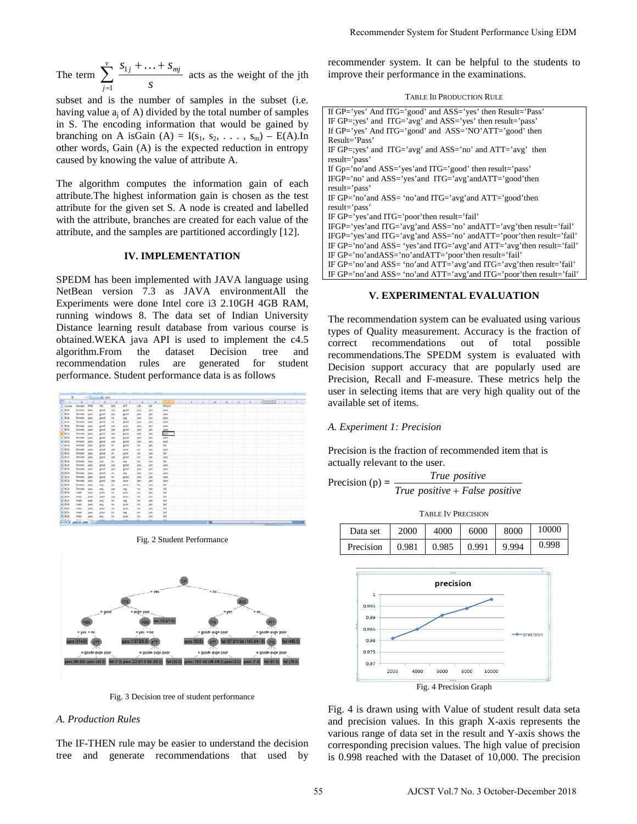The term  $\sum_{j=1}^{v} \frac{s_{1j} + \dots + s_{j}}{s}$ *j j mj s*  $s_{1i} + ... + s$ 1  $s_{1j} + \ldots + s_{mj}$  acts as the weight of the jth

subset and is the number of samples in the subset (i.e. having value  $a_i$  of A) divided by the total number of samples in S. The encoding information that would be gained by branching on A isGain (A) =  $I(s_1, s_2, \ldots, s_m)$  – E(A).In other words, Gain (A) is the expected reduction in entropy caused by knowing the value of attribute A.

The algorithm computes the information gain of each attribute.The highest information gain is chosen as the test attribute for the given set S. A node is created and labelled with the attribute, branches are created for each value of the attribute, and the samples are partitioned accordingly [12].

### **IV. IMPLEMENTATION**

SPEDM has been implemented with JAVA language using NetBean version 7.3 as JAVA environmentAll the Experiments were done Intel core i3 2.10GH 4GB RAM, running windows 8. The data set of Indian University Distance learning result database from various course is obtained.WEKA java API is used to implement the c4.5 algorithm.From the dataset Decision tree and recommendation rules are generated for student performance. Student performance data is as follows

|                |                 |                                    | A pass     |            |                 |            |                  |               |  |      |  |  |            |      |                |
|----------------|-----------------|------------------------------------|------------|------------|-----------------|------------|------------------|---------------|--|------|--|--|------------|------|----------------|
|                | ٠               | c                                  | s.         |            | $-1$            | 11.0       | <b>STATISTIC</b> |               |  |      |  |  | channel by | $-1$ | $\blacksquare$ |
| <b>COUNTER</b> | Gender          | PM                                 | ing.       | A55        | ATT             | <b>LW</b>  | 68               | <b>ATSLET</b> |  |      |  |  |            |      |                |
| <b>BCA</b>     | Temale          | <b>DATE</b>                        | good       | yes        | good            | yes.       | yes              | pets          |  |      |  |  |            |      |                |
| 6CA            | <b>Terrade</b>  | 19498                              | good       | yes        | good            | yes.       | yes              | pess          |  |      |  |  |            |      |                |
| <b>ACA</b>     | Temale          | mass                               | good       | 66         | 44              | yes        | $v$ es           | <b>Bell</b>   |  |      |  |  |            |      |                |
| <b>BOA</b>     | female          | <b>BASE</b>                        | good       | no         | anos            | yes.       | <b>VIII</b>      | pacs.         |  |      |  |  |            |      |                |
| 5 ACA          | <b>Section</b>  | <b>Viens</b>                       | good       | yes.       | DODE            | yes.       | yes              | pain          |  |      |  |  |            |      |                |
| 7.904          | famale          | DASE                               | good       | <b>VKS</b> | good            | yes.       | yes.             | pats          |  |      |  |  |            |      |                |
| a sca          | famale          | <b>DATE</b>                        | good       | yes.       | good            | <b>SWI</b> | yes              | pess          |  |      |  |  |            |      |                |
| $9 - 00A$      | <b>Semala</b>   | pass                               | good       | pes        | good            | pes        | yes.             | pass          |  |      |  |  |            |      |                |
| 10 BCA         | temate          | <b>DATE</b>                        | 8105       | yes.       | good            | yes        | yes              | pass          |  |      |  |  |            |      |                |
| 11 N.A.        | female          | pass                               | good       | <b>IND</b> | good            | no.        | yat              | fat           |  |      |  |  |            |      |                |
| 17.8CA         | Senate          | OASS                               | good       | yes.       | occe            | no.        | 381              | pans          |  |      |  |  |            |      |                |
| 11 BCA         | Nemale          | 2411                               | good       | $^{66}$    | poor            | na         | yet              | <b>Fall</b>   |  |      |  |  |            |      |                |
| 14 BCA         | Temale          | pets                               | good       | yes        | good            | m          | yes              | pess          |  |      |  |  |            |      |                |
| 15 BOA         | famale          | pass                               | ang        | no.        | aug             | ne         | <b>VEL</b>       | fall.         |  |      |  |  |            |      |                |
| 15 BCA         | teinate         | <b>DATE</b>                        | good       | <b>VES</b> | <b>2008</b>     | <b>VIS</b> | yes              | gass.         |  |      |  |  |            |      |                |
| 17 ACA         | <b>Sericale</b> | mess.                              | good       | yes        | good            | yes        | yes              | <b>UWIN</b>   |  |      |  |  |            |      |                |
| 18 SCA         | <b>Seriale</b>  | Deta                               | good       | no.        | 4n <sub>0</sub> | ver        | yes.             | OA15          |  |      |  |  |            |      |                |
| IS BOA         | female          | patt                               | good       | no:        | good            | yes        | yes              | pass          |  |      |  |  |            |      |                |
| 30 BCA         | female          | OASS                               | good       | yes        | moor            | pes.       | yes.             | pats          |  |      |  |  |            |      |                |
| ZI BCA         | tensie          | OASH                               | 4n         | no.        | poor            | no.        | yes.             | <b>NAT</b>    |  |      |  |  |            |      |                |
| $22$ aca       | female          | <b>DATE</b>                        | <b>PIS</b> | yes        | $m_{\rm K}$     | <b>SHO</b> | yes.             | <b>Lat</b>    |  |      |  |  |            |      |                |
| 23 8CA         | make            | 19.498                             | poor       | <b>FRO</b> | point of        | <b>AND</b> | yes.             | fall.         |  |      |  |  |            |      |                |
| 28 BGA         | mate            | patt                               | poor       | 'yes       | poor            | $^{16}$    | yes              | tat           |  |      |  |  |            |      |                |
| 25 BOA         | male            | patt                               | zq         | <b>PUT</b> | aig             | <b>INC</b> | yes              | fall.         |  |      |  |  |            |      |                |
| 35 ACA         | make            | pets                               | 448        | ns.        | <b>DODE</b>     | Ab.        | yes              | <b>NA</b>     |  |      |  |  |            |      |                |
| 27.004         | mate            | pass                               | poor       | ns         | poor            | <b>Ad</b>  | vcti             | tet           |  |      |  |  |            |      |                |
| 28.9CA         | make            | <b>DATE</b>                        | poor       | <b>INC</b> | $-1$            | m          | yes.             | <b>fail</b>   |  |      |  |  |            |      |                |
| 25 BCA         | male            | DATE                               | evg        | ns:        | poor            | <b>AB</b>  | $y$ es           | fall          |  |      |  |  |            |      |                |
| MONTA          | mate            | <b>HALL</b><br>perform 2000 - (22) | Anne.      | m          | <b>John</b>     | m          | int.             | Aut.          |  | - 19 |  |  |            |      |                |

Fig. 2 Student Performance



Fig. 3 Decision tree of student performance

## *A. Production Rules*

The IF-THEN rule may be easier to understand the decision tree and generate recommendations that used by

TABLE III PRODUCTION RULE

|    |                                                              | Recommender System for Student Performance Using EDM                                                                                                                                                                                                                                                                                                                                                                                                                                                                                                              |                                                            |                                                 |               |          |                                         |  |  |  |  |  |  |
|----|--------------------------------------------------------------|-------------------------------------------------------------------------------------------------------------------------------------------------------------------------------------------------------------------------------------------------------------------------------------------------------------------------------------------------------------------------------------------------------------------------------------------------------------------------------------------------------------------------------------------------------------------|------------------------------------------------------------|-------------------------------------------------|---------------|----------|-----------------------------------------|--|--|--|--|--|--|
|    |                                                              | recommender system. It can be helpful to the students to<br>improve their performance in the examinations.                                                                                                                                                                                                                                                                                                                                                                                                                                                        |                                                            |                                                 |               |          |                                         |  |  |  |  |  |  |
|    |                                                              |                                                                                                                                                                                                                                                                                                                                                                                                                                                                                                                                                                   |                                                            | <b>TABLE III PRODUCTION RULE</b>                |               |          |                                         |  |  |  |  |  |  |
|    |                                                              | If GP='yes' And ITG='good' and ASS='yes' then Result='Pass'                                                                                                                                                                                                                                                                                                                                                                                                                                                                                                       |                                                            |                                                 |               |          |                                         |  |  |  |  |  |  |
|    |                                                              | IF GP=; yes' and ITG='avg' and ASS='yes' then result='pass'<br>If GP='yes' And ITG='good' and ASS='NO'ATT='good' then                                                                                                                                                                                                                                                                                                                                                                                                                                             |                                                            |                                                 |               |          |                                         |  |  |  |  |  |  |
|    |                                                              | Result='Pass'                                                                                                                                                                                                                                                                                                                                                                                                                                                                                                                                                     | IF GP=; yes' and ITG='avg' and ASS='no' and ATT='avg' then |                                                 |               |          |                                         |  |  |  |  |  |  |
|    |                                                              | result='pass'<br>If Gp='no'and ASS='yes'and ITG='good' then result='pass'                                                                                                                                                                                                                                                                                                                                                                                                                                                                                         |                                                            |                                                 |               |          |                                         |  |  |  |  |  |  |
|    |                                                              | IFGP='no' and ASS='yes'and ITG='avg'andATT='good'then<br>result='pass'<br>IF GP='no'and ASS= 'no'and ITG='avg'and ATT='good'then                                                                                                                                                                                                                                                                                                                                                                                                                                  |                                                            |                                                 |               |          |                                         |  |  |  |  |  |  |
|    | result='pass'<br>IF GP='yes'and ITG='poor'then result='fail' |                                                                                                                                                                                                                                                                                                                                                                                                                                                                                                                                                                   |                                                            |                                                 |               |          |                                         |  |  |  |  |  |  |
|    |                                                              | IFGP='yes'and ITG='avg'and ASS='no' andATT='avg'then result='fail'<br>IFGP='yes'and ITG='avg'and ASS='no' andATT='poor'then result='fail'<br>IF GP='no'and ASS= 'yes'and ITG='avg'and ATT='avg'then result='fail'<br>IF GP='no'andASS='no'andATT='poor'then result='fail'<br>IF GP='no'and ASS= 'no'and ATT='avg'and ITG='avg'then result='fail'                                                                                                                                                                                                                  |                                                            |                                                 |               |          |                                         |  |  |  |  |  |  |
|    |                                                              | IF GP='no'and ASS= 'no'and ATT='avg'and ITG='poor'then result='fail'                                                                                                                                                                                                                                                                                                                                                                                                                                                                                              |                                                            |                                                 |               |          |                                         |  |  |  |  |  |  |
|    |                                                              |                                                                                                                                                                                                                                                                                                                                                                                                                                                                                                                                                                   |                                                            | <b>V. EXPERIMENTAL EVALUATION</b>               |               |          |                                         |  |  |  |  |  |  |
|    |                                                              | The recommendation system can be evaluated using various<br>types of Quality measurement. Accuracy is the fraction of<br>correct<br>recommendations. The SPEDM system is evaluated with<br>Decision support accuracy that are popularly used are<br>Precision, Recall and F-measure. These metrics help the<br>user in selecting items that are very high quality out of the<br>available set of items.<br>A. Experiment 1: Precision<br>Precision is the fraction of recommended item that is<br>actually relevant to the user.<br>Precision (p) = $\frac{1}{2}$ | recommendations                                            | True positive<br>True positive + False positive | out           | of total | possible                                |  |  |  |  |  |  |
|    |                                                              |                                                                                                                                                                                                                                                                                                                                                                                                                                                                                                                                                                   |                                                            | <b>TABLE IV PRECISION</b>                       |               |          |                                         |  |  |  |  |  |  |
|    |                                                              | Data set                                                                                                                                                                                                                                                                                                                                                                                                                                                                                                                                                          | 2000                                                       | 4000                                            | 6000          | 8000     | 10000                                   |  |  |  |  |  |  |
|    |                                                              | Precision                                                                                                                                                                                                                                                                                                                                                                                                                                                                                                                                                         | 0.981                                                      | 0.985                                           | 0.991         | 9.994    | 0.998                                   |  |  |  |  |  |  |
|    |                                                              |                                                                                                                                                                                                                                                                                                                                                                                                                                                                                                                                                                   |                                                            |                                                 |               |          |                                         |  |  |  |  |  |  |
|    |                                                              |                                                                                                                                                                                                                                                                                                                                                                                                                                                                                                                                                                   |                                                            | precision                                       |               |          |                                         |  |  |  |  |  |  |
|    |                                                              | 1                                                                                                                                                                                                                                                                                                                                                                                                                                                                                                                                                                 |                                                            |                                                 |               |          |                                         |  |  |  |  |  |  |
|    |                                                              | 0.995                                                                                                                                                                                                                                                                                                                                                                                                                                                                                                                                                             |                                                            |                                                 |               |          |                                         |  |  |  |  |  |  |
|    |                                                              | 0.99<br>0.985                                                                                                                                                                                                                                                                                                                                                                                                                                                                                                                                                     |                                                            |                                                 |               |          |                                         |  |  |  |  |  |  |
|    |                                                              | 0.98                                                                                                                                                                                                                                                                                                                                                                                                                                                                                                                                                              |                                                            |                                                 |               |          | precision                               |  |  |  |  |  |  |
|    |                                                              | 0.975                                                                                                                                                                                                                                                                                                                                                                                                                                                                                                                                                             |                                                            |                                                 |               |          |                                         |  |  |  |  |  |  |
|    |                                                              | 0.97                                                                                                                                                                                                                                                                                                                                                                                                                                                                                                                                                              | 2000<br>4000                                               | 6000                                            | 8000<br>10000 |          |                                         |  |  |  |  |  |  |
|    |                                                              |                                                                                                                                                                                                                                                                                                                                                                                                                                                                                                                                                                   |                                                            | Fig. 4 Precision Graph                          |               |          |                                         |  |  |  |  |  |  |
|    |                                                              | Fig. 4 is drawn using with Value of student result data seta<br>and precision values. In this graph X-axis represents the<br>various range of data set in the result and Y-axis shows the<br>corresponding precision values. The high value of precision<br>is 0.998 reached with the Dataset of 10,000. The precision                                                                                                                                                                                                                                            |                                                            |                                                 |               |          |                                         |  |  |  |  |  |  |
| 55 |                                                              |                                                                                                                                                                                                                                                                                                                                                                                                                                                                                                                                                                   |                                                            |                                                 |               |          | AJCST Vol.7 No. 3 October-December 2018 |  |  |  |  |  |  |

#### **V. EXPERIMENTAL EVALUATION**

#### *A. Experiment 1: Precision*

$$
Precision (p) = \frac{True \ positive}{True \ positive + False \ positive}
$$

| Data set                          | 2000 4000 | 6000 | 8000 | 10000 |
|-----------------------------------|-----------|------|------|-------|
| Precision 0.981 0.985 0.991 9.994 |           |      |      | 0.998 |

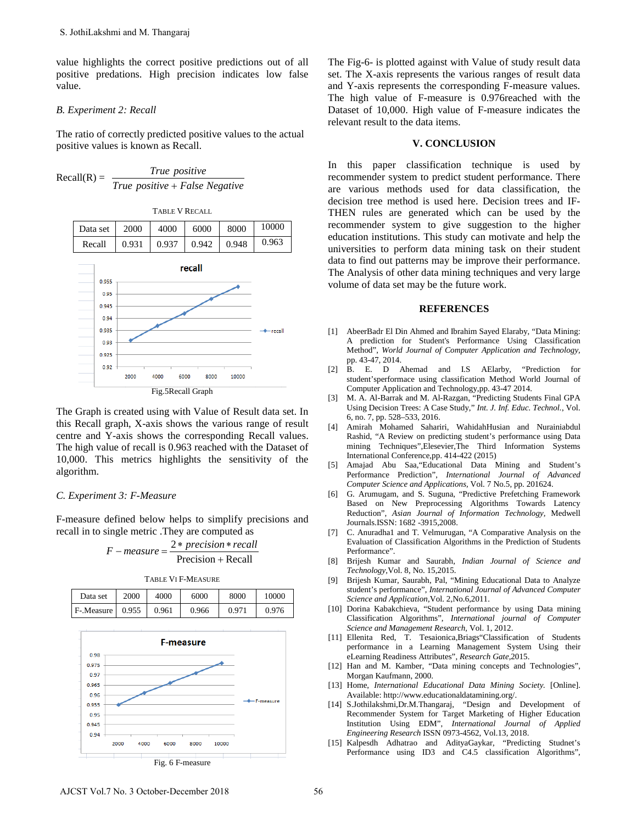value highlights the correct positive predictions out of all positive predations. High precision indicates low false value.

## *B. Experiment 2: Recall*

The ratio of correctly predicted positive values to the actual positive values is known as Recall.

$$
Recall(R) = \frac{True \ positive}{True \ positive + False \ Negative}
$$



The Graph is created using with Value of Result data set. In this Recall graph, X-axis shows the various range of result centre and Y-axis shows the corresponding Recall values. The high value of recall is 0.963 reached with the Dataset of 10,000. This metrics highlights the sensitivity of the algorithm.

## *C. Experiment 3: F-Measure*

F-measure defined below helps to simplify precisions and recall in to single metric .They are computed as

$$
F-measure = \frac{2*precision*recall}{Precision+Recall}
$$

TABLE VI F-MEASURE

| Data set  | 2000  | 4000  | 6000  | 8000  | 10000 |
|-----------|-------|-------|-------|-------|-------|
| F-Measure | 0.955 | 0.961 | 0.966 | 0.971 | 0.976 |



Fig. 6 F-measure

The Fig-6- is plotted against with Value of study result data set. The X-axis represents the various ranges of result data and Y-axis represents the corresponding F-measure values. The high value of F-measure is 0.976reached with the Dataset of 10,000. High value of F-measure indicates the relevant result to the data items.

## **V. CONCLUSION**

In this paper classification technique is used by recommender system to predict student performance. There are various methods used for data classification, the decision tree method is used here. Decision trees and IF-THEN rules are generated which can be used by the recommender system to give suggestion to the higher education institutions. This study can motivate and help the universities to perform data mining task on their student data to find out patterns may be improve their performance. The Analysis of other data mining techniques and very large volume of data set may be the future work.

#### **REFERENCES**

- [1] AbeerBadr El Din Ahmed and Ibrahim Sayed Elaraby, "Data Mining: A prediction for Student's Performance Using Classification Method", *World Journal of Computer Application and Technology,*  pp. 43-47, 2014.
- [2] B. E. D Ahemad and I.S AElarby, "Prediction for student'sperformace using classification Method World Journal of Computer Application and Technology,pp. 43-47 2014.
- [3] M. A. Al-Barrak and M. Al-Razgan, "Predicting Students Final GPA Using Decision Trees: A Case Study," *Int. J. Inf. Educ. Technol.*, Vol. 6, no. 7, pp. 528–533, 2016.
- [4] Amirah Mohamed Sahariri, WahidahHusian and Nurainiabdul Rashid, "A Review on predicting student's performance using Data mining Techniques",Elesevier,The Third Information Systems International Conference,pp. 414-422 (2015)
- [5] Amajad Abu Saa,"Educational Data Mining and Student's Performance Prediction", *International Journal of Advanced Computer Science and Applications,* Vol. 7 No.5, pp. 201624.
- [6] G. Arumugam, and S. Suguna, "Predictive Prefetching Framework Based on New Preprocessing Algorithms Towards Latency Reduction", *Asian Journal of Information Technology,* Medwell Journals.ISSN: 1682 -3915,2008.
- [7] C. Anuradha1 and T. Velmurugan, "A Comparative Analysis on the Evaluation of Classification Algorithms in the Prediction of Students Performance".
- [8] Brijesh Kumar and Saurabh, *Indian Journal of Science and Technology,*Vol. 8, No. 15,2015.
- [9] Brijesh Kumar, Saurabh, Pal, "Mining Educational Data to Analyze student's performance", *International Journal of Advanced Computer Science and Application,*Vol. 2,No.6,2011.
- [10] Dorina Kabakchieva, "Student performance by using Data mining Classification Algorithms", *International journal of Computer Science and Management Research,* Vol. 1, 2012.
- [11] Ellenita Red, T. Tesaionica,Briags"Classification of Students performance in a Learning Management System Using their eLearning Readiness Attributes", *Research Gate,*2015.
- [12] Han and M. Kamber, "Data mining concepts and Technologies", Morgan Kaufmann, 2000.
- [13] Home, *International Educational Data Mining Society.* [Online]. Available: http://www.educationaldatamining.org/.
- [14] S.Jothilakshmi,Dr.M.Thangaraj, "Design and Development of Recommender System for Target Marketing of Higher Education Institution Using EDM", *International Journal of Applied Engineering Research* ISSN 0973-4562, Vol.13, 2018.
- [15] Kalpesdh Adhatrao and AdityaGaykar, "Predicting Studnet's Performance using ID3 and C4.5 classification Algorithms",